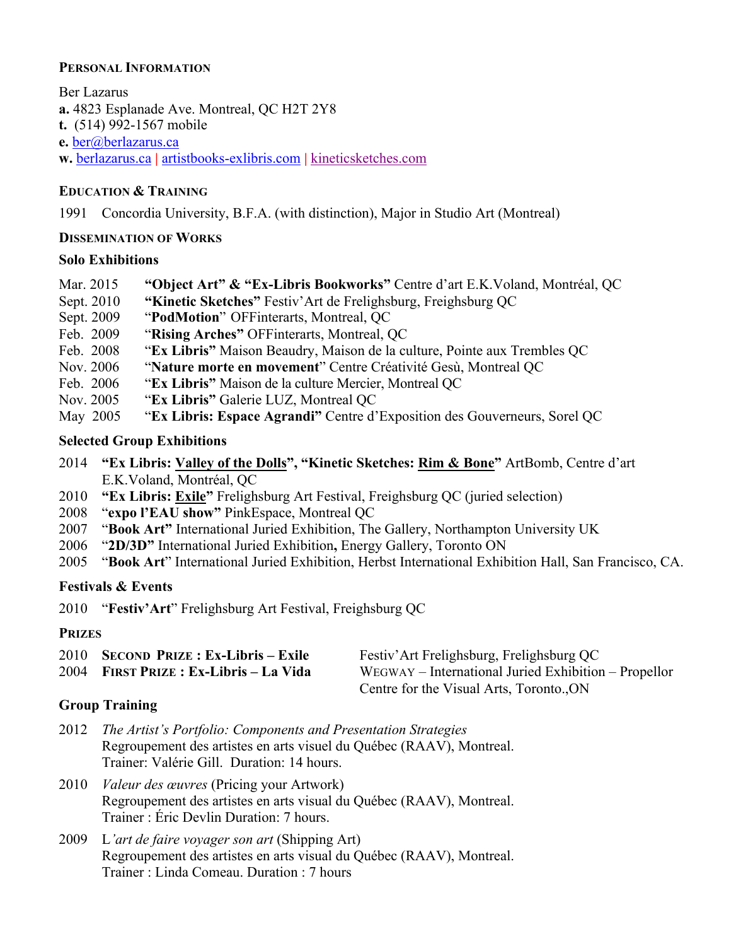### **PERSONAL INFORMATION**

Ber Lazarus **a.** 4823 Esplanade Ave. Montreal, QC H2T 2Y8 **t.** (514) 992-1567 mobile **e.** ber@berlazarus.ca **w.** berlazarus.ca **|** artistbooks-exlibris.com **|** kineticsketches.com

# **EDUCATION & TRAINING**

1991 Concordia University, B.F.A. (with distinction), Major in Studio Art (Montreal)

### **DISSEMINATION OF WORKS**

### **Solo Exhibitions**

- Mar. 2015 **"Object Art" & "Ex-Libris Bookworks"** Centre d'art E.K.Voland, Montréal, QC
- Sept. 2010 **"Kinetic Sketches"** Festiv'Art de Frelighsburg, Freighsburg QC
- Sept. 2009 "**PodMotion**" OFFinterarts, Montreal, QC
- Feb. 2009 "**Rising Arches"** OFFinterarts, Montreal, QC
- Feb. 2008 "**Ex Libris"** Maison Beaudry, Maison de la culture, Pointe aux Trembles QC
- Nov. 2006 "**Nature morte en movement**" Centre Créativité Gesù, Montreal QC
- Feb. 2006 "**Ex Libris"** Maison de la culture Mercier, Montreal QC
- Nov. 2005 "**Ex Libris"** Galerie LUZ, Montreal QC
- May 2005 "**Ex Libris: Espace Agrandi"** Centre d'Exposition des Gouverneurs, Sorel QC

### **Selected Group Exhibitions**

- 2014 **"Ex Libris: Valley of the Dolls", "Kinetic Sketches: Rim & Bone"** ArtBomb, Centre d'art E.K.Voland, Montréal, QC
- 2010 **"Ex Libris: Exile"** Frelighsburg Art Festival, Freighsburg QC (juried selection)
- 2008 "**expo l'EAU show"** PinkEspace, Montreal QC
- 2007 "**Book Art"** International Juried Exhibition, The Gallery, Northampton University UK
- 2006 "**2D/3D"** International Juried Exhibition**,** Energy Gallery, Toronto ON
- 2005 "**Book Art**" International Juried Exhibition, Herbst International Exhibition Hall, San Francisco, CA.

### **Festivals & Events**

2010 "**Festiv'Art**" Frelighsburg Art Festival, Freighsburg QC

### **PRIZES**

| 2010 SECOND PRIZE : Ex-Libris – Exile  | Festiv'Art Frelighsburg, Frelighsburg QC             |
|----------------------------------------|------------------------------------------------------|
| 2004 FIRST PRIZE : Ex-Libris – La Vida | WEGWAY – International Juried Exhibition – Propellor |
|                                        | Centre for the Visual Arts, Toronto., ON             |

# **Group Training**

- 2012 *The Artist's Portfolio: Components and Presentation Strategies* Regroupement des artistes en arts visuel du Québec (RAAV), Montreal. Trainer: Valérie Gill. Duration: 14 hours.
- 2010 *Valeur des œuvres* (Pricing your Artwork) Regroupement des artistes en arts visual du Québec (RAAV), Montreal. Trainer : Éric Devlin Duration: 7 hours.
- 2009 L*'art de faire voyager son art* (Shipping Art) Regroupement des artistes en arts visual du Québec (RAAV), Montreal. Trainer : Linda Comeau. Duration : 7 hours